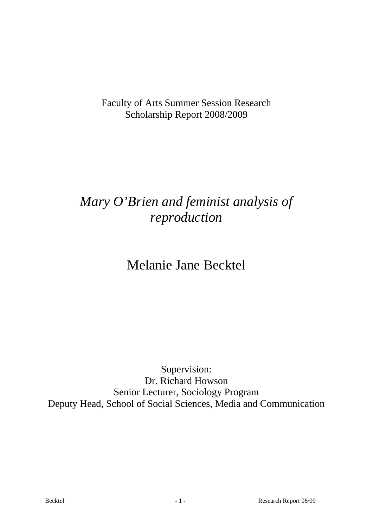Faculty of Arts Summer Session Research Scholarship Report 2008/2009

# *Mary O'Brien and feminist analysis of reproduction*

## Melanie Jane Becktel

Supervision: Dr. Richard Howson Senior Lecturer, Sociology Program Deputy Head, School of Social Sciences, Media and Communication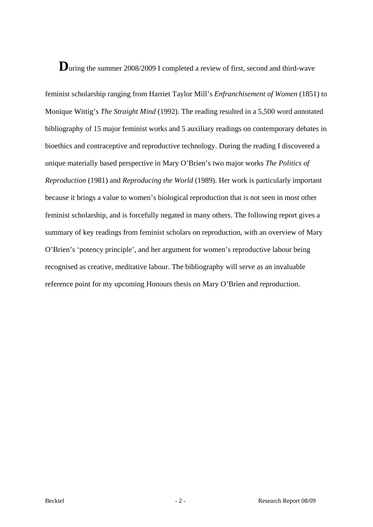### **D**uring the summer 2008/2009 I completed a review of first, second and third-wave

feminist scholarship ranging from Harriet Taylor Mill's *Enfranchisement of Women* (1851) to Monique Wittig's *The Straight Mind* (1992)*.* The reading resulted in a 5,500 word annotated bibliography of 15 major feminist works and 5 auxiliary readings on contemporary debates in bioethics and contraceptive and reproductive technology. During the reading I discovered a unique materially based perspective in Mary O'Brien's two major works *The Politics of Reproduction* (1981) and *Reproducing the World* (1989). Her work is particularly important because it brings a value to women's biological reproduction that is not seen in most other feminist scholarship, and is forcefully negated in many others. The following report gives a summary of key readings from feminist scholars on reproduction, with an overview of Mary O'Brien's 'potency principle', and her argument for women's reproductive labour being recognised as creative, meditative labour. The bibliography will serve as an invaluable reference point for my upcoming Honours thesis on Mary O'Brien and reproduction.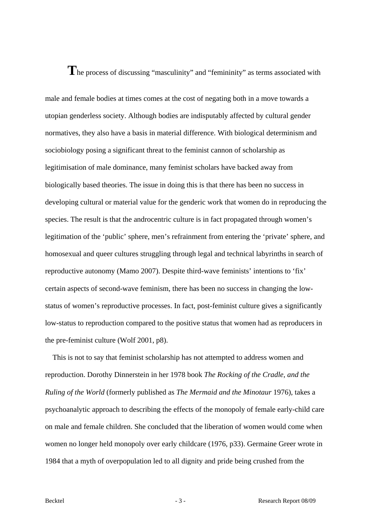### **T**he process of discussing "masculinity" and "femininity" as terms associated with

male and female bodies at times comes at the cost of negating both in a move towards a utopian genderless society. Although bodies are indisputably affected by cultural gender normatives, they also have a basis in material difference. With biological determinism and sociobiology posing a significant threat to the feminist cannon of scholarship as legitimisation of male dominance, many feminist scholars have backed away from biologically based theories. The issue in doing this is that there has been no success in developing cultural or material value for the genderic work that women do in reproducing the species. The result is that the androcentric culture is in fact propagated through women's legitimation of the 'public' sphere, men's refrainment from entering the 'private' sphere, and homosexual and queer cultures struggling through legal and technical labyrinths in search of reproductive autonomy (Mamo 2007). Despite third-wave feminists' intentions to 'fix' certain aspects of second-wave feminism, there has been no success in changing the lowstatus of women's reproductive processes. In fact, post-feminist culture gives a significantly low-status to reproduction compared to the positive status that women had as reproducers in the pre-feminist culture (Wolf 2001, p8).

 This is not to say that feminist scholarship has not attempted to address women and reproduction. Dorothy Dinnerstein in her 1978 book *The Rocking of the Cradle, and the Ruling of the World* (formerly published as *The Mermaid and the Minotaur* 1976), takes a psychoanalytic approach to describing the effects of the monopoly of female early-child care on male and female children. She concluded that the liberation of women would come when women no longer held monopoly over early childcare (1976, p33). Germaine Greer wrote in 1984 that a myth of overpopulation led to all dignity and pride being crushed from the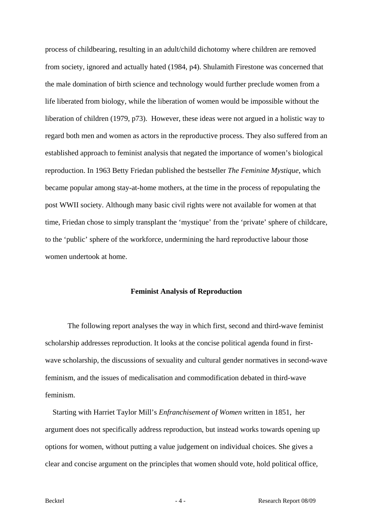process of childbearing, resulting in an adult/child dichotomy where children are removed from society, ignored and actually hated (1984, p4). Shulamith Firestone was concerned that the male domination of birth science and technology would further preclude women from a life liberated from biology, while the liberation of women would be impossible without the liberation of children (1979, p73). However, these ideas were not argued in a holistic way to regard both men and women as actors in the reproductive process. They also suffered from an established approach to feminist analysis that negated the importance of women's biological reproduction. In 1963 Betty Friedan published the bestseller *The Feminine Mystique*, which became popular among stay-at-home mothers, at the time in the process of repopulating the post WWII society. Although many basic civil rights were not available for women at that time, Friedan chose to simply transplant the 'mystique' from the 'private' sphere of childcare, to the 'public' sphere of the workforce, undermining the hard reproductive labour those women undertook at home.

#### **Feminist Analysis of Reproduction**

 The following report analyses the way in which first, second and third-wave feminist scholarship addresses reproduction. It looks at the concise political agenda found in firstwave scholarship, the discussions of sexuality and cultural gender normatives in second-wave feminism, and the issues of medicalisation and commodification debated in third-wave feminism.

 Starting with Harriet Taylor Mill's *Enfranchisement of Women* written in 1851, her argument does not specifically address reproduction, but instead works towards opening up options for women, without putting a value judgement on individual choices. She gives a clear and concise argument on the principles that women should vote, hold political office,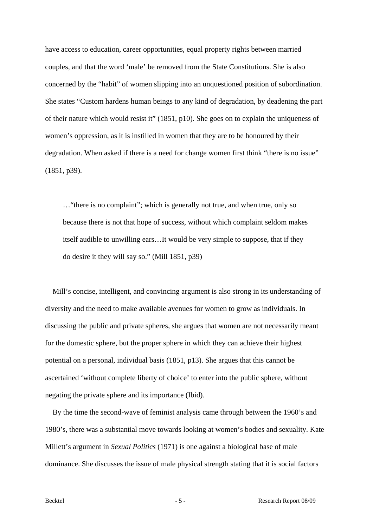have access to education, career opportunities, equal property rights between married couples, and that the word 'male' be removed from the State Constitutions. She is also concerned by the "habit" of women slipping into an unquestioned position of subordination. She states "Custom hardens human beings to any kind of degradation, by deadening the part of their nature which would resist it" (1851, p10). She goes on to explain the uniqueness of women's oppression, as it is instilled in women that they are to be honoured by their degradation. When asked if there is a need for change women first think "there is no issue" (1851, p39).

…"there is no complaint"; which is generally not true, and when true, only so because there is not that hope of success, without which complaint seldom makes itself audible to unwilling ears…It would be very simple to suppose, that if they do desire it they will say so." (Mill 1851, p39)

 Mill's concise, intelligent, and convincing argument is also strong in its understanding of diversity and the need to make available avenues for women to grow as individuals. In discussing the public and private spheres, she argues that women are not necessarily meant for the domestic sphere, but the proper sphere in which they can achieve their highest potential on a personal, individual basis (1851, p13). She argues that this cannot be ascertained 'without complete liberty of choice' to enter into the public sphere, without negating the private sphere and its importance (Ibid).

 By the time the second-wave of feminist analysis came through between the 1960's and 1980's, there was a substantial move towards looking at women's bodies and sexuality. Kate Millett's argument in *Sexual Politics* (1971) is one against a biological base of male dominance. She discusses the issue of male physical strength stating that it is social factors

Becktel - 5 - Research Report 08/09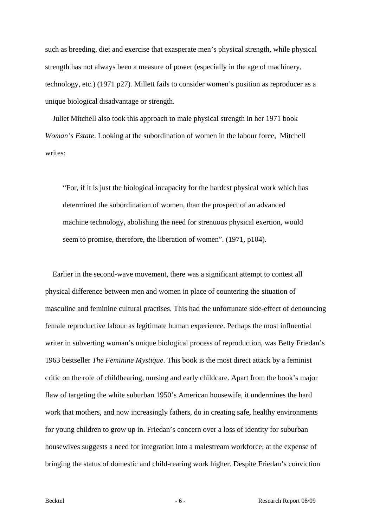such as breeding, diet and exercise that exasperate men's physical strength, while physical strength has not always been a measure of power (especially in the age of machinery, technology, etc.) (1971 p27). Millett fails to consider women's position as reproducer as a unique biological disadvantage or strength.

 Juliet Mitchell also took this approach to male physical strength in her 1971 book *Woman's Estate*. Looking at the subordination of women in the labour force, Mitchell writes:

"For, if it is just the biological incapacity for the hardest physical work which has determined the subordination of women, than the prospect of an advanced machine technology, abolishing the need for strenuous physical exertion, would seem to promise, therefore, the liberation of women". (1971, p104).

 Earlier in the second-wave movement, there was a significant attempt to contest all physical difference between men and women in place of countering the situation of masculine and feminine cultural practises. This had the unfortunate side-effect of denouncing female reproductive labour as legitimate human experience. Perhaps the most influential writer in subverting woman's unique biological process of reproduction, was Betty Friedan's 1963 bestseller *The Feminine Mystique*. This book is the most direct attack by a feminist critic on the role of childbearing, nursing and early childcare. Apart from the book's major flaw of targeting the white suburban 1950's American housewife, it undermines the hard work that mothers, and now increasingly fathers, do in creating safe, healthy environments for young children to grow up in. Friedan's concern over a loss of identity for suburban housewives suggests a need for integration into a malestream workforce; at the expense of bringing the status of domestic and child-rearing work higher. Despite Friedan's conviction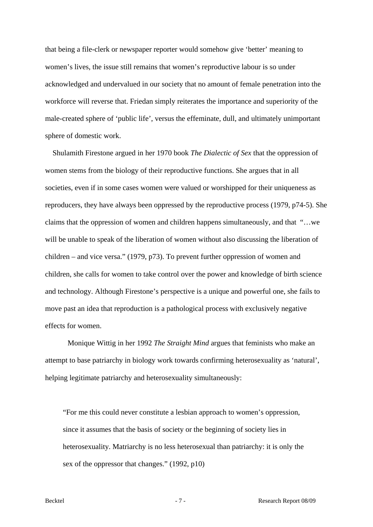that being a file-clerk or newspaper reporter would somehow give 'better' meaning to women's lives, the issue still remains that women's reproductive labour is so under acknowledged and undervalued in our society that no amount of female penetration into the workforce will reverse that. Friedan simply reiterates the importance and superiority of the male-created sphere of 'public life', versus the effeminate, dull, and ultimately unimportant sphere of domestic work.

 Shulamith Firestone argued in her 1970 book *The Dialectic of Sex* that the oppression of women stems from the biology of their reproductive functions. She argues that in all societies, even if in some cases women were valued or worshipped for their uniqueness as reproducers, they have always been oppressed by the reproductive process (1979, p74-5). She claims that the oppression of women and children happens simultaneously, and that "…we will be unable to speak of the liberation of women without also discussing the liberation of children – and vice versa." (1979, p73). To prevent further oppression of women and children, she calls for women to take control over the power and knowledge of birth science and technology. Although Firestone's perspective is a unique and powerful one, she fails to move past an idea that reproduction is a pathological process with exclusively negative effects for women.

 Monique Wittig in her 1992 *The Straight Mind* argues that feminists who make an attempt to base patriarchy in biology work towards confirming heterosexuality as 'natural', helping legitimate patriarchy and heterosexuality simultaneously:

"For me this could never constitute a lesbian approach to women's oppression, since it assumes that the basis of society or the beginning of society lies in heterosexuality. Matriarchy is no less heterosexual than patriarchy: it is only the sex of the oppressor that changes." (1992, p10)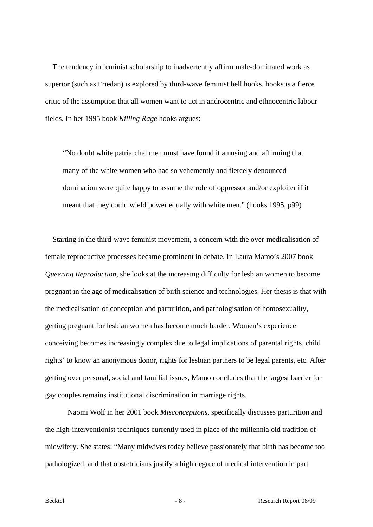The tendency in feminist scholarship to inadvertently affirm male-dominated work as superior (such as Friedan) is explored by third-wave feminist bell hooks. hooks is a fierce critic of the assumption that all women want to act in androcentric and ethnocentric labour fields. In her 1995 book *Killing Rage* hooks argues:

"No doubt white patriarchal men must have found it amusing and affirming that many of the white women who had so vehemently and fiercely denounced domination were quite happy to assume the role of oppressor and/or exploiter if it meant that they could wield power equally with white men." (hooks 1995, p99)

 Starting in the third-wave feminist movement, a concern with the over-medicalisation of female reproductive processes became prominent in debate. In Laura Mamo's 2007 book *Queering Reproduction*, she looks at the increasing difficulty for lesbian women to become pregnant in the age of medicalisation of birth science and technologies. Her thesis is that with the medicalisation of conception and parturition, and pathologisation of homosexuality, getting pregnant for lesbian women has become much harder. Women's experience conceiving becomes increasingly complex due to legal implications of parental rights, child rights' to know an anonymous donor, rights for lesbian partners to be legal parents, etc. After getting over personal, social and familial issues, Mamo concludes that the largest barrier for gay couples remains institutional discrimination in marriage rights.

 Naomi Wolf in her 2001 book *Misconceptions*, specifically discusses parturition and the high-interventionist techniques currently used in place of the millennia old tradition of midwifery. She states: "Many midwives today believe passionately that birth has become too pathologized, and that obstetricians justify a high degree of medical intervention in part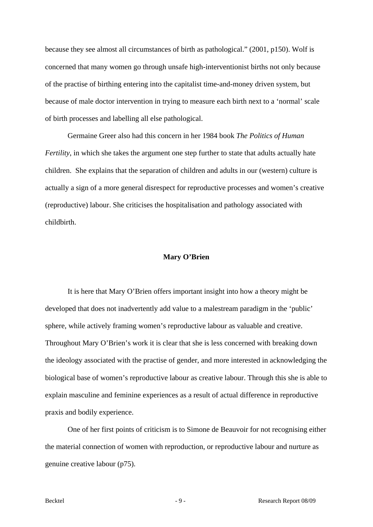because they see almost all circumstances of birth as pathological." (2001, p150). Wolf is concerned that many women go through unsafe high-interventionist births not only because of the practise of birthing entering into the capitalist time-and-money driven system, but because of male doctor intervention in trying to measure each birth next to a 'normal' scale of birth processes and labelling all else pathological.

 Germaine Greer also had this concern in her 1984 book *The Politics of Human Fertility*, in which she takes the argument one step further to state that adults actually hate children. She explains that the separation of children and adults in our (western) culture is actually a sign of a more general disrespect for reproductive processes and women's creative (reproductive) labour. She criticises the hospitalisation and pathology associated with childbirth.

#### **Mary O'Brien**

 It is here that Mary O'Brien offers important insight into how a theory might be developed that does not inadvertently add value to a malestream paradigm in the 'public' sphere, while actively framing women's reproductive labour as valuable and creative. Throughout Mary O'Brien's work it is clear that she is less concerned with breaking down the ideology associated with the practise of gender, and more interested in acknowledging the biological base of women's reproductive labour as creative labour. Through this she is able to explain masculine and feminine experiences as a result of actual difference in reproductive praxis and bodily experience.

 One of her first points of criticism is to Simone de Beauvoir for not recognising either the material connection of women with reproduction, or reproductive labour and nurture as genuine creative labour (p75).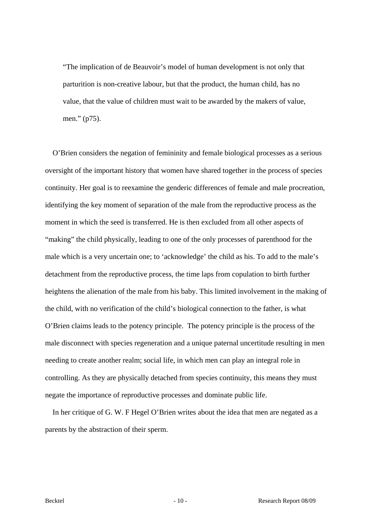"The implication of de Beauvoir's model of human development is not only that parturition is non-creative labour, but that the product, the human child, has no value, that the value of children must wait to be awarded by the makers of value, men." (p75).

 O'Brien considers the negation of femininity and female biological processes as a serious oversight of the important history that women have shared together in the process of species continuity. Her goal is to reexamine the genderic differences of female and male procreation, identifying the key moment of separation of the male from the reproductive process as the moment in which the seed is transferred. He is then excluded from all other aspects of "making" the child physically, leading to one of the only processes of parenthood for the male which is a very uncertain one; to 'acknowledge' the child as his. To add to the male's detachment from the reproductive process, the time laps from copulation to birth further heightens the alienation of the male from his baby. This limited involvement in the making of the child, with no verification of the child's biological connection to the father, is what O'Brien claims leads to the potency principle. The potency principle is the process of the male disconnect with species regeneration and a unique paternal uncertitude resulting in men needing to create another realm; social life, in which men can play an integral role in controlling. As they are physically detached from species continuity, this means they must negate the importance of reproductive processes and dominate public life.

 In her critique of G. W. F Hegel O'Brien writes about the idea that men are negated as a parents by the abstraction of their sperm.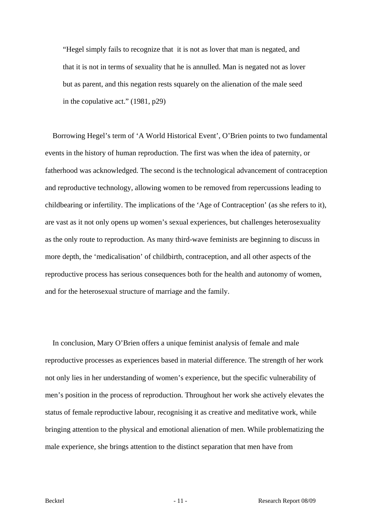"Hegel simply fails to recognize that it is not as lover that man is negated, and that it is not in terms of sexuality that he is annulled. Man is negated not as lover but as parent, and this negation rests squarely on the alienation of the male seed in the copulative act." (1981, p29)

 Borrowing Hegel's term of 'A World Historical Event', O'Brien points to two fundamental events in the history of human reproduction. The first was when the idea of paternity, or fatherhood was acknowledged. The second is the technological advancement of contraception and reproductive technology, allowing women to be removed from repercussions leading to childbearing or infertility. The implications of the 'Age of Contraception' (as she refers to it), are vast as it not only opens up women's sexual experiences, but challenges heterosexuality as the only route to reproduction. As many third-wave feminists are beginning to discuss in more depth, the 'medicalisation' of childbirth, contraception, and all other aspects of the reproductive process has serious consequences both for the health and autonomy of women, and for the heterosexual structure of marriage and the family.

 In conclusion, Mary O'Brien offers a unique feminist analysis of female and male reproductive processes as experiences based in material difference. The strength of her work not only lies in her understanding of women's experience, but the specific vulnerability of men's position in the process of reproduction. Throughout her work she actively elevates the status of female reproductive labour, recognising it as creative and meditative work, while bringing attention to the physical and emotional alienation of men. While problematizing the male experience, she brings attention to the distinct separation that men have from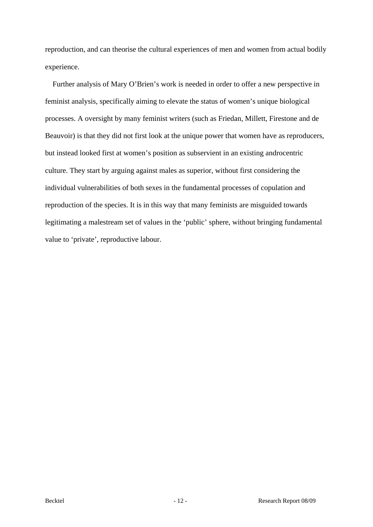reproduction, and can theorise the cultural experiences of men and women from actual bodily experience.

 Further analysis of Mary O'Brien's work is needed in order to offer a new perspective in feminist analysis, specifically aiming to elevate the status of women's unique biological processes. A oversight by many feminist writers (such as Friedan, Millett, Firestone and de Beauvoir) is that they did not first look at the unique power that women have as reproducers, but instead looked first at women's position as subservient in an existing androcentric culture. They start by arguing against males as superior, without first considering the individual vulnerabilities of both sexes in the fundamental processes of copulation and reproduction of the species. It is in this way that many feminists are misguided towards legitimating a malestream set of values in the 'public' sphere, without bringing fundamental value to 'private', reproductive labour.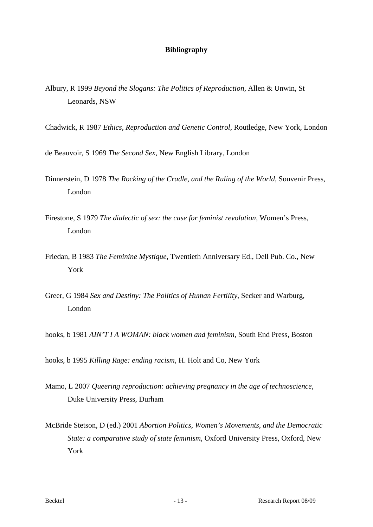### **Bibliography**

- Albury, R 1999 *Beyond the Slogans: The Politics of Reproduction*, Allen & Unwin, St Leonards, NSW
- Chadwick, R 1987 *Ethics, Reproduction and Genetic Control*, Routledge, New York, London
- de Beauvoir, S 1969 *The Second Sex,* New English Library, London
- Dinnerstein, D 1978 *The Rocking of the Cradle, and the Ruling of the World*, Souvenir Press, London
- Firestone, S 1979 *The dialectic of sex: the case for feminist revolution,* Women's Press, London
- Friedan, B 1983 *The Feminine Mystique,* Twentieth Anniversary Ed., Dell Pub. Co., New York
- Greer, G 1984 *Sex and Destiny: The Politics of Human Fertility*, Secker and Warburg, London
- hooks, b 1981 *AIN'T I A WOMAN: black women and feminism*, South End Press, Boston
- hooks, b 1995 *Killing Rage: ending racism,* H. Holt and Co, New York
- Mamo, L 2007 *Queering reproduction: achieving pregnancy in the age of technoscience,* Duke University Press, Durham
- McBride Stetson, D (ed.) 2001 *Abortion Politics, Women's Movements, and the Democratic State: a comparative study of state feminism*, Oxford University Press, Oxford, New York